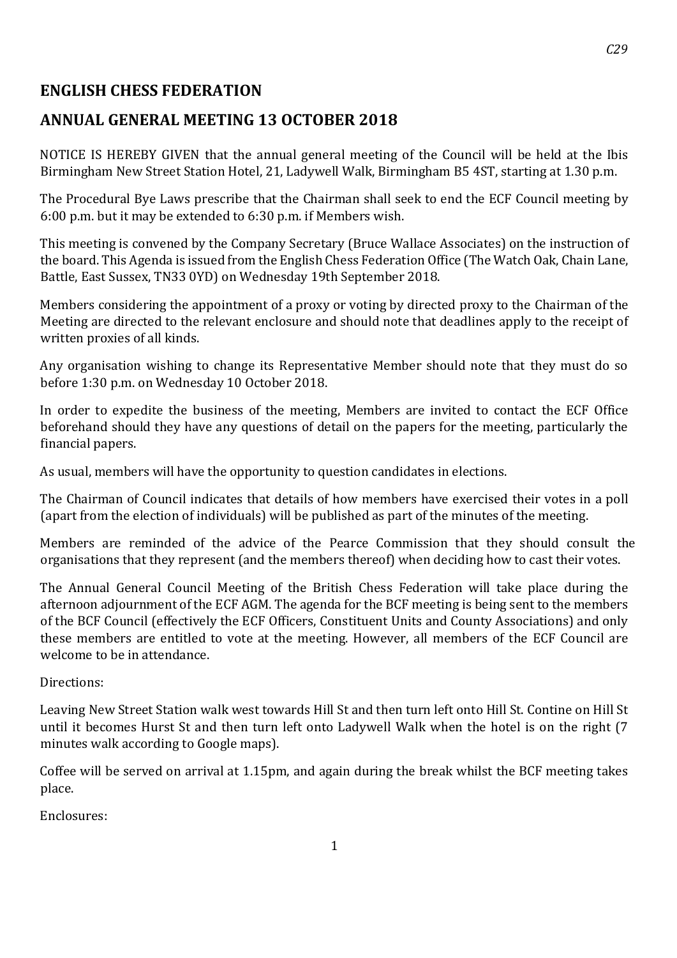## **ENGLISH CHESS FEDERATION**

# **ANNUAL GENERAL MEETING 13 OCTOBER 2018**

NOTICE IS HEREBY GIVEN that the annual general meeting of the Council will be held at the Ibis Birmingham New Street Station Hotel, 21, Ladywell Walk, Birmingham B5 4ST, starting at 1.30 p.m.

The Procedural Bye Laws prescribe that the Chairman shall seek to end the ECF Council meeting by 6:00 p.m. but it may be extended to 6:30 p.m. if Members wish.

This meeting is convened by the Company Secretary (Bruce Wallace Associates) on the instruction of the board. This Agenda is issued from the English Chess Federation Office (The Watch Oak, Chain Lane, Battle, East Sussex, TN33 0YD) on Wednesday 19th September 2018.

Members considering the appointment of a proxy or voting by directed proxy to the Chairman of the Meeting are directed to the relevant enclosure and should note that deadlines apply to the receipt of written proxies of all kinds.

Any organisation wishing to change its Representative Member should note that they must do so before 1:30 p.m. on Wednesday 10 October 2018.

In order to expedite the business of the meeting, Members are invited to contact the ECF Office beforehand should they have any questions of detail on the papers for the meeting, particularly the financial papers.

As usual, members will have the opportunity to question candidates in elections.

The Chairman of Council indicates that details of how members have exercised their votes in a poll (apart from the election of individuals) will be published as part of the minutes of the meeting.

Members are reminded of the advice of the Pearce Commission that they should consult the organisations that they represent (and the members thereof) when deciding how to cast their votes.

The Annual General Council Meeting of the British Chess Federation will take place during the afternoon adjournment of the ECF AGM. The agenda for the BCF meeting is being sent to the members of the BCF Council (effectively the ECF Officers, Constituent Units and County Associations) and only these members are entitled to vote at the meeting. However, all members of the ECF Council are welcome to be in attendance.

#### Directions:

Leaving New Street Station walk west towards Hill St and then turn left onto Hill St. Contine on Hill St until it becomes Hurst St and then turn left onto Ladywell Walk when the hotel is on the right (7 minutes walk according to Google maps).

Coffee will be served on arrival at 1.15pm, and again during the break whilst the BCF meeting takes place.

Enclosures: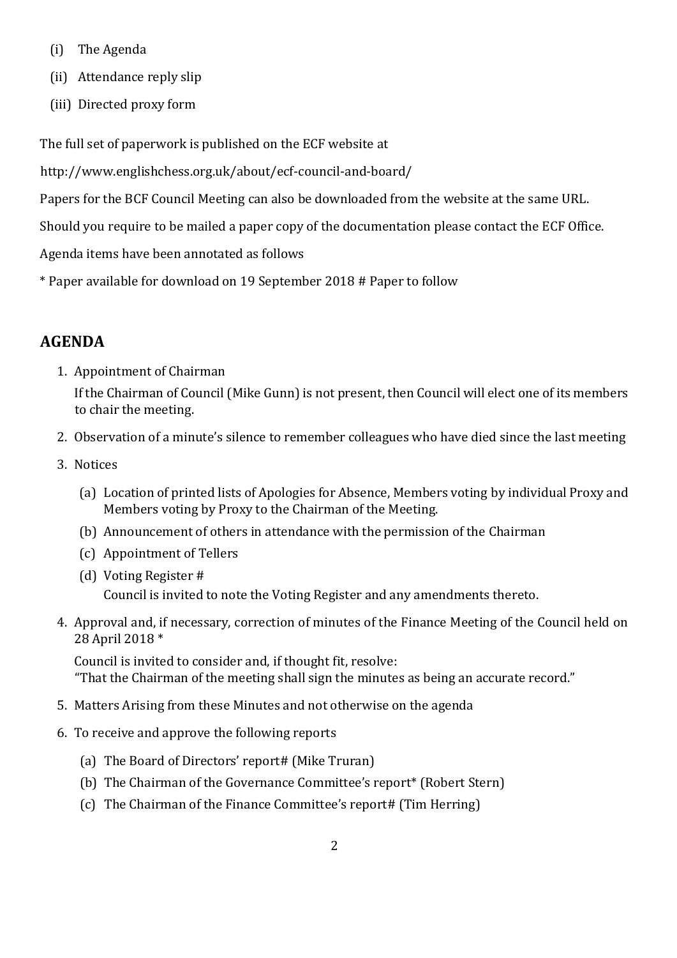- (i) The Agenda
- (ii) Attendance reply slip
- (iii) Directed proxy form

The full set of paperwork is published on the ECF website at

http://www.englishchess.org.uk/about/ecf-council-and-board/

Papers for the BCF Council Meeting can also be downloaded from the website at the same URL.

Should you require to be mailed a paper copy of the documentation please contact the ECF Office.

Agenda items have been annotated as follows

\* Paper available for download on 19 September 2018 # Paper to follow

# **AGENDA**

1. Appointment of Chairman

If the Chairman of Council (Mike Gunn) is not present, then Council will elect one of its members to chair the meeting.

- 2. Observation of a minute's silence to remember colleagues who have died since the last meeting
- 3. Notices
	- (a) Location of printed lists of Apologies for Absence, Members voting by individual Proxy and Members voting by Proxy to the Chairman of the Meeting.
	- (b) Announcement of others in attendance with the permission of the Chairman
	- (c) Appointment of Tellers
	- (d) Voting Register # Council is invited to note the Voting Register and any amendments thereto.
- 4. Approval and, if necessary, correction of minutes of the Finance Meeting of the Council held on 28 April 2018 \*

Council is invited to consider and, if thought fit, resolve: "That the Chairman of the meeting shall sign the minutes as being an accurate record."

- 5. Matters Arising from these Minutes and not otherwise on the agenda
- 6. To receive and approve the following reports
	- (a) The Board of Directors' report# (Mike Truran)
	- (b) The Chairman of the Governance Committee's report\* (Robert Stern)
	- (c) The Chairman of the Finance Committee's report# (Tim Herring)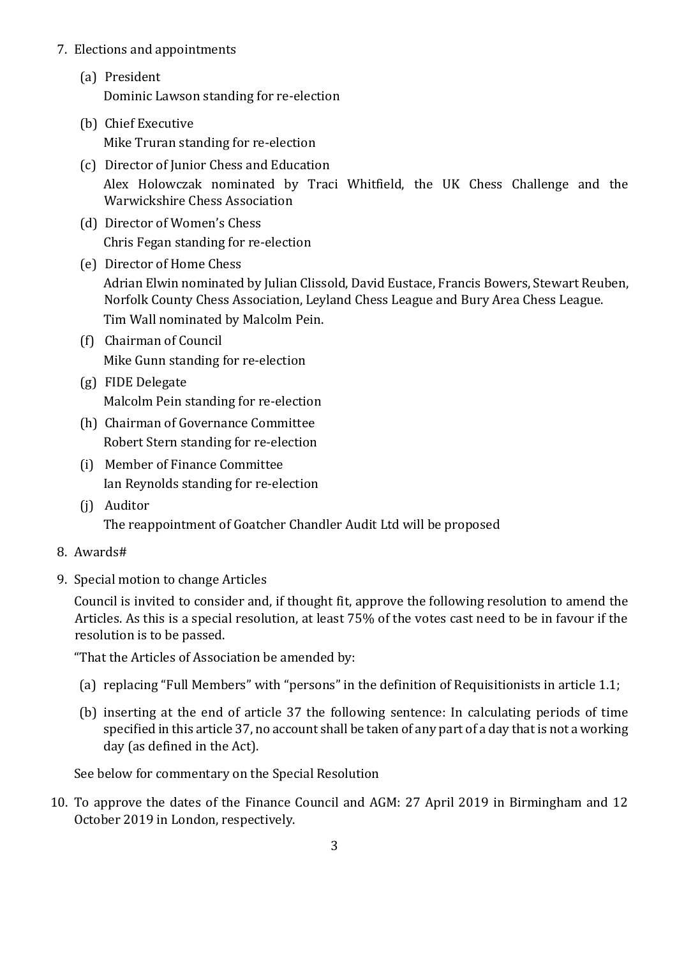#### 7. Elections and appointments

- (a) President Dominic Lawson standing for re-election
- (b) Chief Executive Mike Truran standing for re-election
- (c) Director of Junior Chess and Education Alex Holowczak nominated by Traci Whitfield, the UK Chess Challenge and the Warwickshire Chess Association
- (d) Director of Women's Chess Chris Fegan standing for re-election
- (e) Director of Home Chess Adrian Elwin nominated by Julian Clissold, David Eustace, Francis Bowers, Stewart Reuben, Norfolk County Chess Association, Leyland Chess League and Bury Area Chess League. Tim Wall nominated by Malcolm Pein.
- (f) Chairman of Council Mike Gunn standing for re-election
- (g) FIDE Delegate Malcolm Pein standing for re-election
- (h) Chairman of Governance Committee Robert Stern standing for re-election
- (i) Member of Finance Committee Ian Reynolds standing for re-election
- (j) Auditor The reappointment of Goatcher Chandler Audit Ltd will be proposed
- 8. Awards#
- 9. Special motion to change Articles

Council is invited to consider and, if thought fit, approve the following resolution to amend the Articles. As this is a special resolution, at least 75% of the votes cast need to be in favour if the resolution is to be passed.

"That the Articles of Association be amended by:

- (a) replacing "Full Members" with "persons" in the definition of Requisitionists in article 1.1;
- (b) inserting at the end of article 37 the following sentence: In calculating periods of time specified in this article 37, no account shall be taken of any part of a day that is not a working day (as defined in the Act).

See below for commentary on the Special Resolution

10. To approve the dates of the Finance Council and AGM: 27 April 2019 in Birmingham and 12 October 2019 in London, respectively.